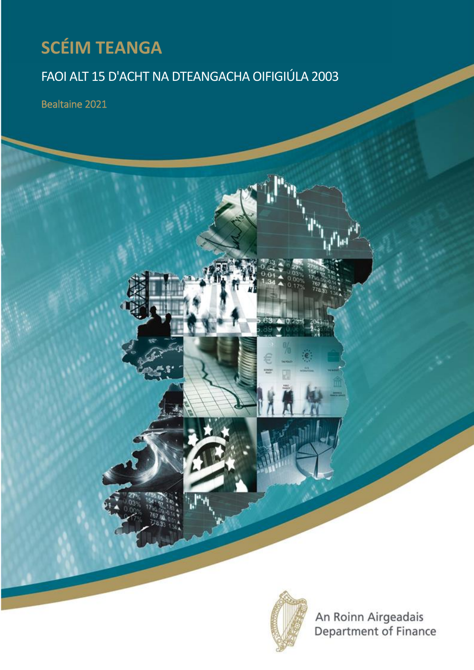# **SCÉIM TEANGA**

# FAOI ALT 15 D'ACHT NA DTEANGACHA OIFIGIÚLA 2003

Bealtaine 2021



An Roinn Airgeadais<br>Department of Finance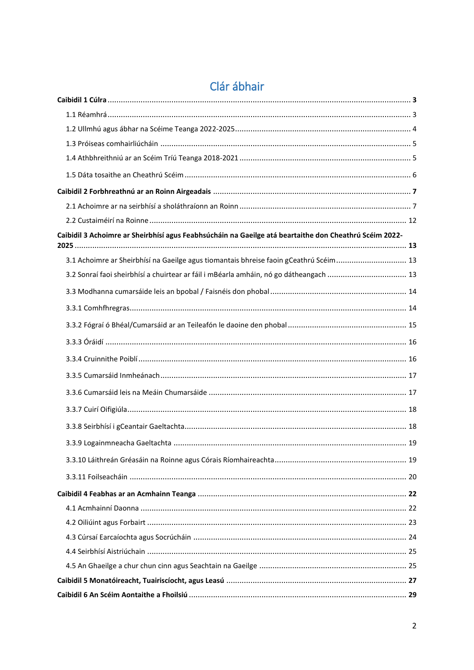| Caibidil 3 Achoimre ar Sheirbhísí agus Feabhsúcháin na Gaeilge atá beartaithe don Cheathrú Scéim 2022- |  |
|--------------------------------------------------------------------------------------------------------|--|
|                                                                                                        |  |
| 3.1 Achoimre ar Sheirbhísí na Gaeilge agus tiomantais bhreise faoin gCeathrú Scéim 13                  |  |
| 3.2 Sonraí faoi sheirbhísí a chuirtear ar fáil i mBéarla amháin, nó go dátheangach  13                 |  |
|                                                                                                        |  |
|                                                                                                        |  |
|                                                                                                        |  |
|                                                                                                        |  |
|                                                                                                        |  |
|                                                                                                        |  |
|                                                                                                        |  |
|                                                                                                        |  |
|                                                                                                        |  |
|                                                                                                        |  |
|                                                                                                        |  |
|                                                                                                        |  |
|                                                                                                        |  |
|                                                                                                        |  |
|                                                                                                        |  |
|                                                                                                        |  |
|                                                                                                        |  |
|                                                                                                        |  |
|                                                                                                        |  |
|                                                                                                        |  |

# Clár ábhair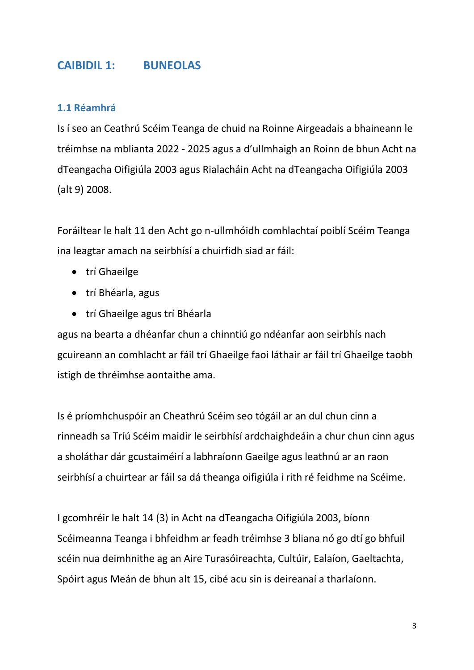## **CAIBIDIL 1: BUNEOLAS**

## **1.1 Réamhrá**

Is í seo an Ceathrú Scéim Teanga de chuid na Roinne Airgeadais a bhaineann le tréimhse na mblianta 2022 - 2025 agus a d'ullmhaigh an Roinn de bhun Acht na dTeangacha Oifigiúla 2003 agus Rialacháin Acht na dTeangacha Oifigiúla 2003 (alt 9) 2008.

Foráiltear le halt 11 den Acht go n-ullmhóidh comhlachtaí poiblí Scéim Teanga ina leagtar amach na seirbhísí a chuirfidh siad ar fáil:

- trí Ghaeilge
- trí Bhéarla, agus
- trí Ghaeilge agus trí Bhéarla

agus na bearta a dhéanfar chun a chinntiú go ndéanfar aon seirbhís nach gcuireann an comhlacht ar fáil trí Ghaeilge faoi láthair ar fáil trí Ghaeilge taobh istigh de thréimhse aontaithe ama.

Is é príomhchuspóir an Cheathrú Scéim seo tógáil ar an dul chun cinn a rinneadh sa Tríú Scéim maidir le seirbhísí ardchaighdeáin a chur chun cinn agus a sholáthar dár gcustaiméirí a labhraíonn Gaeilge agus leathnú ar an raon seirbhísí a chuirtear ar fáil sa dá theanga oifigiúla i rith ré feidhme na Scéime.

I gcomhréir le halt 14 (3) in Acht na dTeangacha Oifigiúla 2003, bíonn Scéimeanna Teanga i bhfeidhm ar feadh tréimhse 3 bliana nó go dtí go bhfuil scéin nua deimhnithe ag an Aire Turasóireachta, Cultúir, Ealaíon, Gaeltachta, Spóirt agus Meán de bhun alt 15, cibé acu sin is deireanaí a tharlaíonn.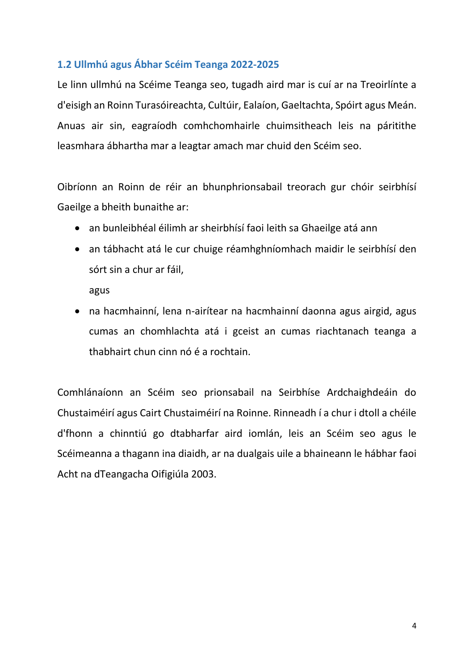## **1.2 Ullmhú agus Ábhar Scéim Teanga 2022-2025**

Le linn ullmhú na Scéime Teanga seo, tugadh aird mar is cuí ar na Treoirlínte a d'eisigh an Roinn Turasóireachta, Cultúir, Ealaíon, Gaeltachta, Spóirt agus Meán. Anuas air sin, eagraíodh comhchomhairle chuimsitheach leis na páritithe leasmhara ábhartha mar a leagtar amach mar chuid den Scéim seo.

Oibríonn an Roinn de réir an bhunphrionsabail treorach gur chóir seirbhísí Gaeilge a bheith bunaithe ar:

- an bunleibhéal éilimh ar sheirbhísí faoi leith sa Ghaeilge atá ann
- an tábhacht atá le cur chuige réamhghníomhach maidir le seirbhísí den sórt sin a chur ar fáil,

agus

 na hacmhainní, lena n-airítear na hacmhainní daonna agus airgid, agus cumas an chomhlachta atá i gceist an cumas riachtanach teanga a thabhairt chun cinn nó é a rochtain.

Comhlánaíonn an Scéim seo prionsabail na Seirbhíse Ardchaighdeáin do Chustaiméirí agus Cairt Chustaiméirí na Roinne. Rinneadh í a chur i dtoll a chéile d'fhonn a chinntiú go dtabharfar aird iomlán, leis an Scéim seo agus le Scéimeanna a thagann ina diaidh, ar na dualgais uile a bhaineann le hábhar faoi Acht na dTeangacha Oifigiúla 2003.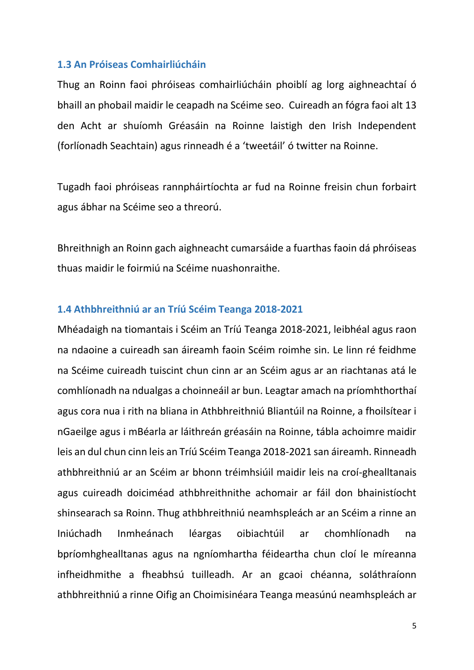#### **1.3 An Próiseas Comhairliúcháin**

Thug an Roinn faoi phróiseas comhairliúcháin phoiblí ag lorg aighneachtaí ó bhaill an phobail maidir le ceapadh na Scéime seo. Cuireadh an fógra faoi alt 13 den Acht ar shuíomh Gréasáin na Roinne laistigh den Irish Independent (forlíonadh Seachtain) agus rinneadh é a 'tweetáil' ó twitter na Roinne.

Tugadh faoi phróiseas rannpháirtíochta ar fud na Roinne freisin chun forbairt agus ábhar na Scéime seo a threorú.

Bhreithnigh an Roinn gach aighneacht cumarsáide a fuarthas faoin dá phróiseas thuas maidir le foirmiú na Scéime nuashonraithe.

#### **1.4 Athbhreithniú ar an Tríú Scéim Teanga 2018-2021**

Mhéadaigh na tiomantais i Scéim an Tríú Teanga 2018-2021, leibhéal agus raon na ndaoine a cuireadh san áireamh faoin Scéim roimhe sin. Le linn ré feidhme na Scéime cuireadh tuiscint chun cinn ar an Scéim agus ar an riachtanas atá le comhlíonadh na ndualgas a choinneáil ar bun. Leagtar amach na príomhthorthaí agus cora nua i rith na bliana in Athbhreithniú Bliantúil na Roinne, a fhoilsítear i nGaeilge agus i mBéarla ar láithreán gréasáin na Roinne, tábla achoimre maidir leis an dul chun cinn leis an Tríú Scéim Teanga 2018-2021 san áireamh. Rinneadh athbhreithniú ar an Scéim ar bhonn tréimhsiúil maidir leis na croí-ghealltanais agus cuireadh doiciméad athbhreithnithe achomair ar fáil don bhainistíocht shinsearach sa Roinn. Thug athbhreithniú neamhspleách ar an Scéim a rinne an Iniúchadh Inmheánach léargas oibiachtúil ar chomhlíonadh na bpríomhghealltanas agus na ngníomhartha féideartha chun cloí le míreanna infheidhmithe a fheabhsú tuilleadh. Ar an gcaoi chéanna, soláthraíonn athbhreithniú a rinne Oifig an Choimisinéara Teanga measúnú neamhspleách ar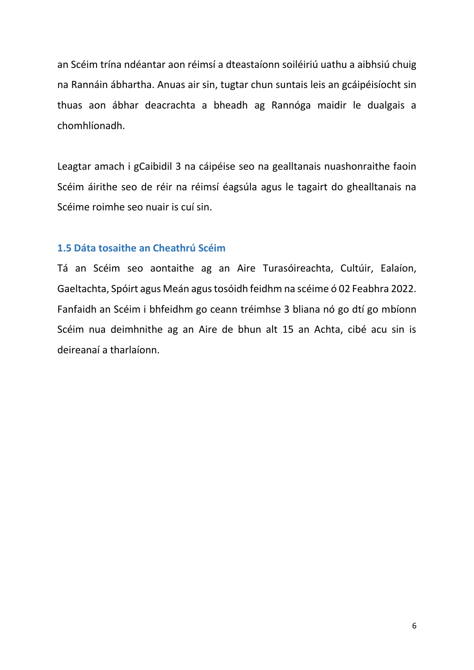an Scéim trína ndéantar aon réimsí a dteastaíonn soiléiriú uathu a aibhsiú chuig na Rannáin ábhartha. Anuas air sin, tugtar chun suntais leis an gcáipéisíocht sin thuas aon ábhar deacrachta a bheadh ag Rannóga maidir le dualgais a chomhlíonadh.

Leagtar amach i gCaibidil 3 na cáipéise seo na gealltanais nuashonraithe faoin Scéim áirithe seo de réir na réimsí éagsúla agus le tagairt do ghealltanais na Scéime roimhe seo nuair is cuí sin.

#### **1.5 Dáta tosaithe an Cheathrú Scéim**

Tá an Scéim seo aontaithe ag an Aire Turasóireachta, Cultúir, Ealaíon, Gaeltachta, Spóirt agus Meán agus tosóidh feidhm na scéime ó 02 Feabhra 2022. Fanfaidh an Scéim i bhfeidhm go ceann tréimhse 3 bliana nó go dtí go mbíonn Scéim nua deimhnithe ag an Aire de bhun alt 15 an Achta, cibé acu sin is deireanaí a tharlaíonn.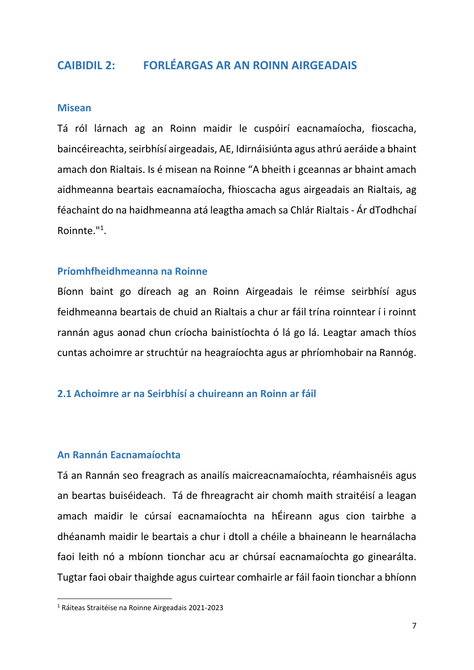## **CAIBIDIL 2: FORLÉARGAS AR AN ROINN AIRGEADAIS**

#### **Misean**

Tá ról lárnach ag an Roinn maidir le cuspóirí eacnamaíocha, fioscacha, baincéireachta, seirbhísí airgeadais, AE, Idirnáisiúnta agus athrú aeráide a bhaint amach don Rialtais. Is é misean na Roinne "A bheith i gceannas ar bhaint amach aidhmeanna beartais eacnamaíocha, fhioscacha agus airgeadais an Rialtais, ag féachaint do na haidhmeanna atá leagtha amach sa Chlár Rialtais - Ár dTodhchaí Roinnte."<sup>1</sup> .

#### **Príomhfheidhmeanna na Roinne**

Bíonn baint go díreach ag an Roinn Airgeadais le réimse seirbhísí agus feidhmeanna beartais de chuid an Rialtais a chur ar fáil trína roinntear í i roinnt rannán agus aonad chun críocha bainistíochta ó lá go lá. Leagtar amach thíos cuntas achoimre ar struchtúr na heagraíochta agus ar phríomhobair na Rannóg.

#### **2.1 Achoimre ar na Seirbhísí a chuireann an Roinn ar fáil**

#### **An Rannán Eacnamaíochta**

Tá an Rannán seo freagrach as anailís maicreacnamaíochta, réamhaisnéis agus an beartas buiséideach. Tá de fhreagracht air chomh maith straitéisí a leagan amach maidir le cúrsaí eacnamaíochta na hÉireann agus cion tairbhe a dhéanamh maidir le beartais a chur i dtoll a chéile a bhaineann le hearnálacha faoi leith nó a mbíonn tionchar acu ar chúrsaí eacnamaíochta go ginearálta. Tugtar faoi obair thaighde agus cuirtear comhairle ar fáil faoin tionchar a bhíonn

**.** 

<sup>1</sup> Ráiteas Straitéise na Roinne Airgeadais 2021-2023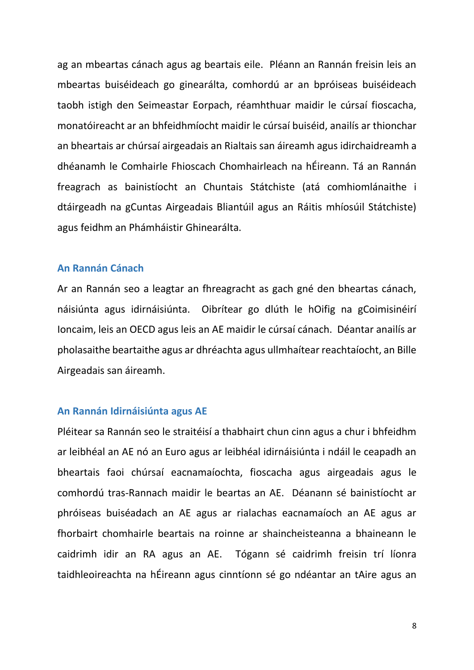ag an mbeartas cánach agus ag beartais eile. Pléann an Rannán freisin leis an mbeartas buiséideach go ginearálta, comhordú ar an bpróiseas buiséideach taobh istigh den Seimeastar Eorpach, réamhthuar maidir le cúrsaí fioscacha, monatóireacht ar an bhfeidhmíocht maidir le cúrsaí buiséid, anailís ar thionchar an bheartais ar chúrsaí airgeadais an Rialtais san áireamh agus idirchaidreamh a dhéanamh le Comhairle Fhioscach Chomhairleach na hÉireann. Tá an Rannán freagrach as bainistíocht an Chuntais Státchiste (atá comhiomlánaithe i dtáirgeadh na gCuntas Airgeadais Bliantúil agus an Ráitis mhíosúil Státchiste) agus feidhm an Phámháistir Ghinearálta.

#### **An Rannán Cánach**

Ar an Rannán seo a leagtar an fhreagracht as gach gné den bheartas cánach, náisiúnta agus idirnáisiúnta. Oibrítear go dlúth le hOifig na gCoimisinéirí Ioncaim, leis an OECD agus leis an AE maidir le cúrsaí cánach. Déantar anailís ar pholasaithe beartaithe agus ar dhréachta agus ullmhaítear reachtaíocht, an Bille Airgeadais san áireamh.

#### **An Rannán Idirnáisiúnta agus AE**

Pléitear sa Rannán seo le straitéisí a thabhairt chun cinn agus a chur i bhfeidhm ar leibhéal an AE nó an Euro agus ar leibhéal idirnáisiúnta i ndáil le ceapadh an bheartais faoi chúrsaí eacnamaíochta, fioscacha agus airgeadais agus le comhordú tras-Rannach maidir le beartas an AE. Déanann sé bainistíocht ar phróiseas buiséadach an AE agus ar rialachas eacnamaíoch an AE agus ar fhorbairt chomhairle beartais na roinne ar shaincheisteanna a bhaineann le caidrimh idir an RA agus an AE. Tógann sé caidrimh freisin trí líonra taidhleoireachta na hÉireann agus cinntíonn sé go ndéantar an tAire agus an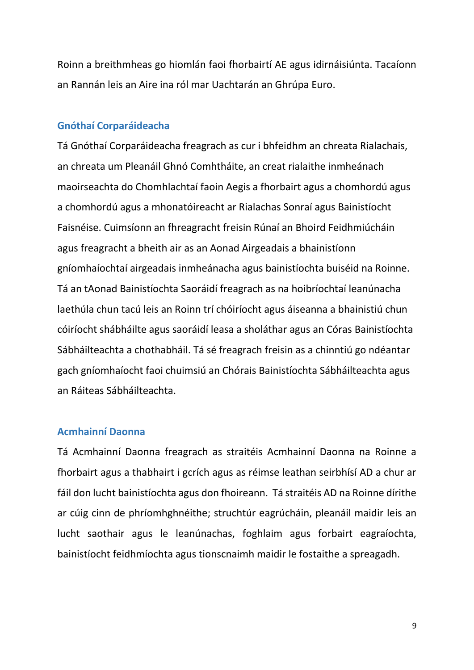Roinn a breithmheas go hiomlán faoi fhorbairtí AE agus idirnáisiúnta. Tacaíonn an Rannán leis an Aire ina ról mar Uachtarán an Ghrúpa Euro.

#### **Gnóthaí Corparáideacha**

Tá Gnóthaí Corparáideacha freagrach as cur i bhfeidhm an chreata Rialachais, an chreata um Pleanáil Ghnó Comhtháite, an creat rialaithe inmheánach maoirseachta do Chomhlachtaí faoin Aegis a fhorbairt agus a chomhordú agus a chomhordú agus a mhonatóireacht ar Rialachas Sonraí agus Bainistíocht Faisnéise. Cuimsíonn an fhreagracht freisin Rúnaí an Bhoird Feidhmiúcháin agus freagracht a bheith air as an Aonad Airgeadais a bhainistíonn gníomhaíochtaí airgeadais inmheánacha agus bainistíochta buiséid na Roinne. Tá an tAonad Bainistíochta Saoráidí freagrach as na hoibríochtaí leanúnacha laethúla chun tacú leis an Roinn trí chóiríocht agus áiseanna a bhainistiú chun cóiríocht shábháilte agus saoráidí leasa a sholáthar agus an Córas Bainistíochta Sábháilteachta a chothabháil. Tá sé freagrach freisin as a chinntiú go ndéantar gach gníomhaíocht faoi chuimsiú an Chórais Bainistíochta Sábháilteachta agus an Ráiteas Sábháilteachta.

#### **Acmhainní Daonna**

Tá Acmhainní Daonna freagrach as straitéis Acmhainní Daonna na Roinne a fhorbairt agus a thabhairt i gcrích agus as réimse leathan seirbhísí AD a chur ar fáil don lucht bainistíochta agus don fhoireann. Tá straitéis AD na Roinne dírithe ar cúig cinn de phríomhghnéithe; struchtúr eagrúcháin, pleanáil maidir leis an lucht saothair agus le leanúnachas, foghlaim agus forbairt eagraíochta, bainistíocht feidhmíochta agus tionscnaimh maidir le fostaithe a spreagadh.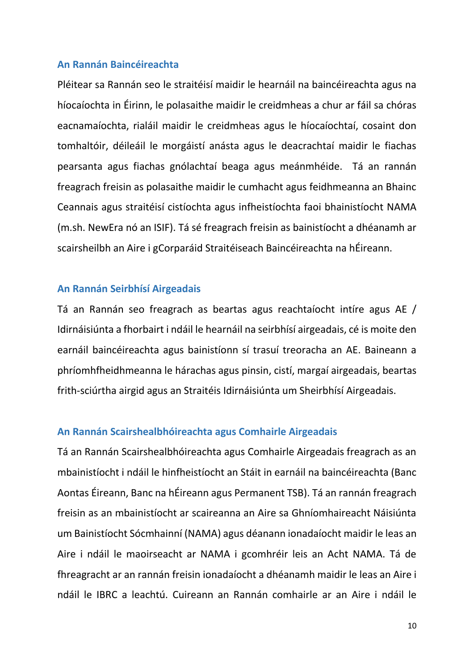#### **An Rannán Baincéireachta**

Pléitear sa Rannán seo le straitéisí maidir le hearnáil na baincéireachta agus na híocaíochta in Éirinn, le polasaithe maidir le creidmheas a chur ar fáil sa chóras eacnamaíochta, rialáil maidir le creidmheas agus le híocaíochtaí, cosaint don tomhaltóir, déileáil le morgáistí anásta agus le deacrachtaí maidir le fiachas pearsanta agus fiachas gnólachtaí beaga agus meánmhéide. Tá an rannán freagrach freisin as polasaithe maidir le cumhacht agus feidhmeanna an Bhainc Ceannais agus straitéisí cistíochta agus infheistíochta faoi bhainistíocht NAMA (m.sh. NewEra nó an ISIF). Tá sé freagrach freisin as bainistíocht a dhéanamh ar scairsheilbh an Aire i gCorparáid Straitéiseach Baincéireachta na hÉireann.

#### **An Rannán Seirbhísí Airgeadais**

Tá an Rannán seo freagrach as beartas agus reachtaíocht intíre agus AE / Idirnáisiúnta a fhorbairt i ndáil le hearnáil na seirbhísí airgeadais, cé is moite den earnáil baincéireachta agus bainistíonn sí trasuí treoracha an AE. Baineann a phríomhfheidhmeanna le hárachas agus pinsin, cistí, margaí airgeadais, beartas frith-sciúrtha airgid agus an Straitéis Idirnáisiúnta um Sheirbhísí Airgeadais.

#### **An Rannán Scairshealbhóireachta agus Comhairle Airgeadais**

Tá an Rannán Scairshealbhóireachta agus Comhairle Airgeadais freagrach as an mbainistíocht i ndáil le hinfheistíocht an Stáit in earnáil na baincéireachta (Banc Aontas Éireann, Banc na hÉireann agus Permanent TSB). Tá an rannán freagrach freisin as an mbainistíocht ar scaireanna an Aire sa Ghníomhaireacht Náisiúnta um Bainistíocht Sócmhainní (NAMA) agus déanann ionadaíocht maidir le leas an Aire i ndáil le maoirseacht ar NAMA i gcomhréir leis an Acht NAMA. Tá de fhreagracht ar an rannán freisin ionadaíocht a dhéanamh maidir le leas an Aire i ndáil le IBRC a leachtú. Cuireann an Rannán comhairle ar an Aire i ndáil le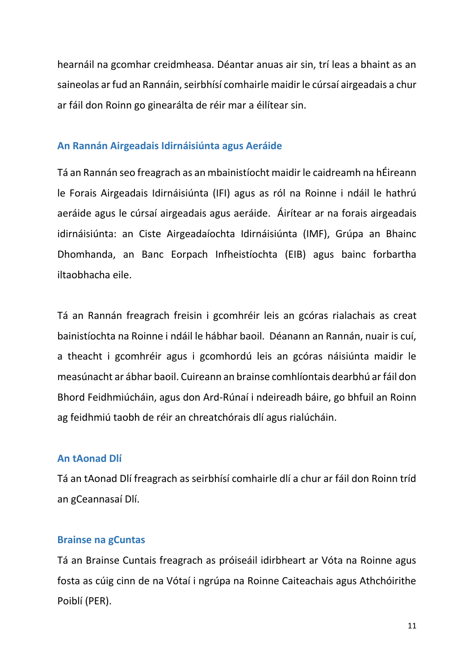hearnáil na gcomhar creidmheasa. Déantar anuas air sin, trí leas a bhaint as an saineolas ar fud an Rannáin, seirbhísí comhairle maidir le cúrsaí airgeadais a chur ar fáil don Roinn go ginearálta de réir mar a éilítear sin.

## **An Rannán Airgeadais Idirnáisiúnta agus Aeráide**

Tá an Rannán seo freagrach as an mbainistíocht maidir le caidreamh na hÉireann le Forais Airgeadais Idirnáisiúnta (IFI) agus as ról na Roinne i ndáil le hathrú aeráide agus le cúrsaí airgeadais agus aeráide. Áirítear ar na forais airgeadais idirnáisiúnta: an Ciste Airgeadaíochta Idirnáisiúnta (IMF), Grúpa an Bhainc Dhomhanda, an Banc Eorpach Infheistíochta (EIB) agus bainc forbartha iltaobhacha eile.

Tá an Rannán freagrach freisin i gcomhréir leis an gcóras rialachais as creat bainistíochta na Roinne i ndáil le hábhar baoil. Déanann an Rannán, nuair is cuí, a theacht i gcomhréir agus i gcomhordú leis an gcóras náisiúnta maidir le measúnacht ar ábhar baoil. Cuireann an brainse comhlíontais dearbhú ar fáil don Bhord Feidhmiúcháin, agus don Ard-Rúnaí i ndeireadh báire, go bhfuil an Roinn ag feidhmiú taobh de réir an chreatchórais dlí agus rialúcháin.

#### **An tAonad Dlí**

Tá an tAonad Dlí freagrach as seirbhísí comhairle dlí a chur ar fáil don Roinn tríd an gCeannasaí Dlí.

#### **Brainse na gCuntas**

Tá an Brainse Cuntais freagrach as próiseáil idirbheart ar Vóta na Roinne agus fosta as cúig cinn de na Vótaí i ngrúpa na Roinne Caiteachais agus Athchóirithe Poiblí (PER).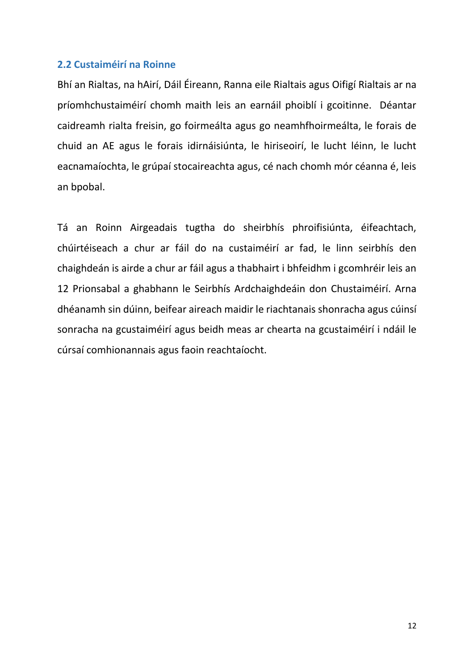#### **2.2 Custaiméirí na Roinne**

Bhí an Rialtas, na hAirí, Dáil Éireann, Ranna eile Rialtais agus Oifigí Rialtais ar na príomhchustaiméirí chomh maith leis an earnáil phoiblí i gcoitinne. Déantar caidreamh rialta freisin, go foirmeálta agus go neamhfhoirmeálta, le forais de chuid an AE agus le forais idirnáisiúnta, le hiriseoirí, le lucht léinn, le lucht eacnamaíochta, le grúpaí stocaireachta agus, cé nach chomh mór céanna é, leis an bpobal.

Tá an Roinn Airgeadais tugtha do sheirbhís phroifisiúnta, éifeachtach, chúirtéiseach a chur ar fáil do na custaiméirí ar fad, le linn seirbhís den chaighdeán is airde a chur ar fáil agus a thabhairt i bhfeidhm i gcomhréir leis an 12 Prionsabal a ghabhann le Seirbhís Ardchaighdeáin don Chustaiméirí. Arna dhéanamh sin dúinn, beifear aireach maidir le riachtanais shonracha agus cúinsí sonracha na gcustaiméirí agus beidh meas ar chearta na gcustaiméirí i ndáil le cúrsaí comhionannais agus faoin reachtaíocht.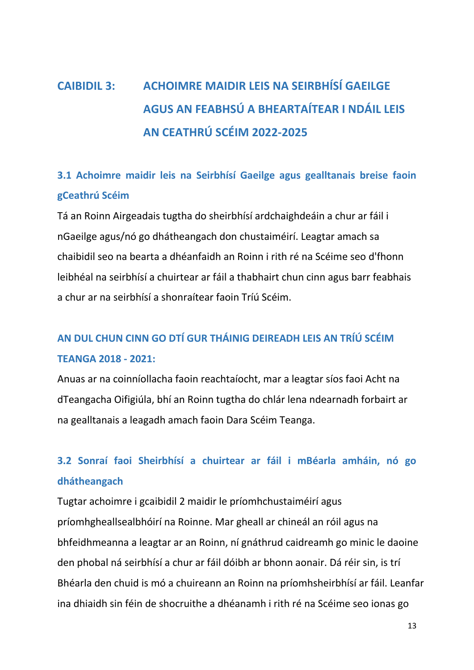# **CAIBIDIL 3: ACHOIMRE MAIDIR LEIS NA SEIRBHÍSÍ GAEILGE AGUS AN FEABHSÚ A BHEARTAÍTEAR I NDÁIL LEIS AN CEATHRÚ SCÉIM 2022-2025**

## **3.1 Achoimre maidir leis na Seirbhísí Gaeilge agus gealltanais breise faoin gCeathrú Scéim**

Tá an Roinn Airgeadais tugtha do sheirbhísí ardchaighdeáin a chur ar fáil i nGaeilge agus/nó go dhátheangach don chustaiméirí. Leagtar amach sa chaibidil seo na bearta a dhéanfaidh an Roinn i rith ré na Scéime seo d'fhonn leibhéal na seirbhísí a chuirtear ar fáil a thabhairt chun cinn agus barr feabhais a chur ar na seirbhísí a shonraítear faoin Tríú Scéim.

# **AN DUL CHUN CINN GO DTÍ GUR THÁINIG DEIREADH LEIS AN TRÍÚ SCÉIM TEANGA 2018 - 2021:**

Anuas ar na coinníollacha faoin reachtaíocht, mar a leagtar síos faoi Acht na dTeangacha Oifigiúla, bhí an Roinn tugtha do chlár lena ndearnadh forbairt ar na gealltanais a leagadh amach faoin Dara Scéim Teanga.

## **3.2 Sonraí faoi Sheirbhísí a chuirtear ar fáil i mBéarla amháin, nó go dhátheangach**

Tugtar achoimre i gcaibidil 2 maidir le príomhchustaiméirí agus príomhgheallsealbhóirí na Roinne. Mar gheall ar chineál an róil agus na bhfeidhmeanna a leagtar ar an Roinn, ní gnáthrud caidreamh go minic le daoine den phobal ná seirbhísí a chur ar fáil dóibh ar bhonn aonair. Dá réir sin, is trí Bhéarla den chuid is mó a chuireann an Roinn na príomhsheirbhísí ar fáil. Leanfar ina dhiaidh sin féin de shocruithe a dhéanamh i rith ré na Scéime seo ionas go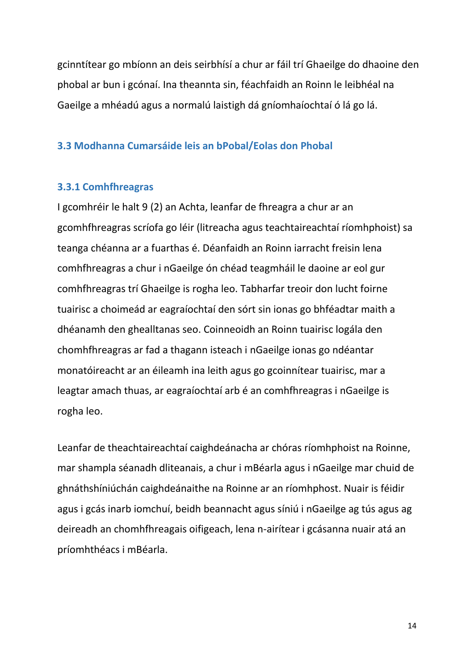gcinntítear go mbíonn an deis seirbhísí a chur ar fáil trí Ghaeilge do dhaoine den phobal ar bun i gcónaí. Ina theannta sin, féachfaidh an Roinn le leibhéal na Gaeilge a mhéadú agus a normalú laistigh dá gníomhaíochtaí ó lá go lá.

## **3.3 Modhanna Cumarsáide leis an bPobal/Eolas don Phobal**

#### **3.3.1 Comhfhreagras**

I gcomhréir le halt 9 (2) an Achta, leanfar de fhreagra a chur ar an gcomhfhreagras scríofa go léir (litreacha agus teachtaireachtaí ríomhphoist) sa teanga chéanna ar a fuarthas é. Déanfaidh an Roinn iarracht freisin lena comhfhreagras a chur i nGaeilge ón chéad teagmháil le daoine ar eol gur comhfhreagras trí Ghaeilge is rogha leo. Tabharfar treoir don lucht foirne tuairisc a choimeád ar eagraíochtaí den sórt sin ionas go bhféadtar maith a dhéanamh den ghealltanas seo. Coinneoidh an Roinn tuairisc logála den chomhfhreagras ar fad a thagann isteach i nGaeilge ionas go ndéantar monatóireacht ar an éileamh ina leith agus go gcoinnítear tuairisc, mar a leagtar amach thuas, ar eagraíochtaí arb é an comhfhreagras i nGaeilge is rogha leo.

Leanfar de theachtaireachtaí caighdeánacha ar chóras ríomhphoist na Roinne, mar shampla séanadh dliteanais, a chur i mBéarla agus i nGaeilge mar chuid de ghnáthshíniúchán caighdeánaithe na Roinne ar an ríomhphost. Nuair is féidir agus i gcás inarb iomchuí, beidh beannacht agus síniú i nGaeilge ag tús agus ag deireadh an chomhfhreagais oifigeach, lena n-airítear i gcásanna nuair atá an príomhthéacs i mBéarla.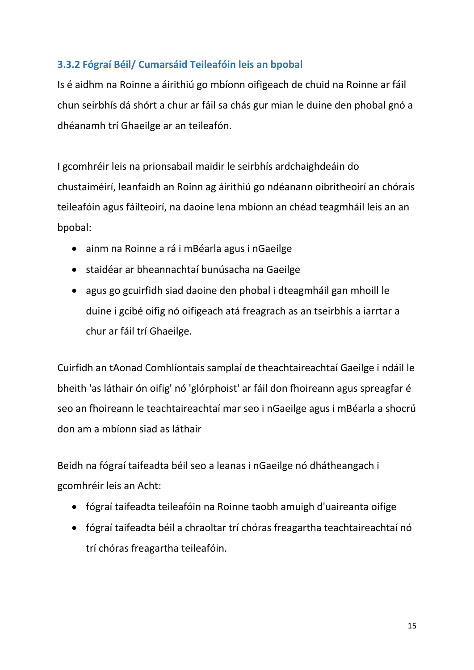## **3.3.2 Fógraí Béil/ Cumarsáid Teileafóin leis an bpobal**

Is é aidhm na Roinne a áirithiú go mbíonn oifigeach de chuid na Roinne ar fáil chun seirbhís dá shórt a chur ar fáil sa chás gur mian le duine den phobal gnó a dhéanamh trí Ghaeilge ar an teileafón.

I gcomhréir leis na prionsabail maidir le seirbhís ardchaighdeáin do chustaiméirí, leanfaidh an Roinn ag áirithiú go ndéanann oibritheoirí an chórais teileafóin agus fáilteoirí, na daoine lena mbíonn an chéad teagmháil leis an an bpobal:

- ainm na Roinne a rá i mBéarla agus i nGaeilge
- staidéar ar bheannachtaí bunúsacha na Gaeilge
- agus go gcuirfidh siad daoine den phobal i dteagmháil gan mhoill le duine i gcibé oifig nó oifigeach atá freagrach as an tseirbhís a iarrtar a chur ar fáil trí Ghaeilge.

Cuirfidh an tAonad Comhlíontais samplaí de theachtaireachtaí Gaeilge i ndáil le bheith 'as láthair ón oifig' nó 'glórphoist' ar fáil don fhoireann agus spreagfar é seo an fhoireann le teachtaireachtaí mar seo i nGaeilge agus i mBéarla a shocrú don am a mbíonn siad as láthair

Beidh na fógraí taifeadta béil seo a leanas i nGaeilge nó dhátheangach i gcomhréir leis an Acht:

- fógraí taifeadta teileafóin na Roinne taobh amuigh d'uaireanta oifige
- fógraí taifeadta béil a chraoltar trí chóras freagartha teachtaireachtaí nó trí chóras freagartha teileafóin.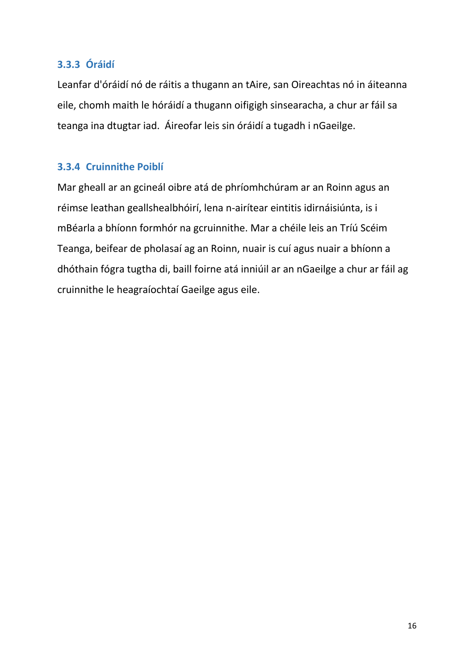## **3.3.3 Óráidí**

Leanfar d'óráidí nó de ráitis a thugann an tAire, san Oireachtas nó in áiteanna eile, chomh maith le hóráidí a thugann oifigigh sinsearacha, a chur ar fáil sa teanga ina dtugtar iad. Áireofar leis sin óráidí a tugadh i nGaeilge.

## **3.3.4 Cruinnithe Poiblí**

Mar gheall ar an gcineál oibre atá de phríomhchúram ar an Roinn agus an réimse leathan geallshealbhóirí, lena n-airítear eintitis idirnáisiúnta, is i mBéarla a bhíonn formhór na gcruinnithe. Mar a chéile leis an Tríú Scéim Teanga, beifear de pholasaí ag an Roinn, nuair is cuí agus nuair a bhíonn a dhóthain fógra tugtha di, baill foirne atá inniúil ar an nGaeilge a chur ar fáil ag cruinnithe le heagraíochtaí Gaeilge agus eile.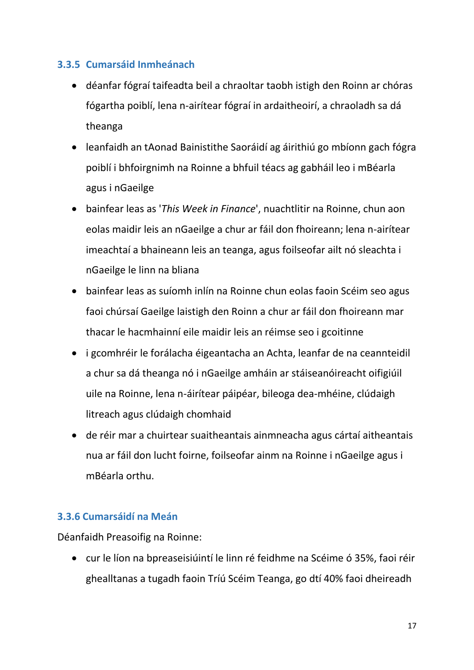## **3.3.5 Cumarsáid Inmheánach**

- déanfar fógraí taifeadta beil a chraoltar taobh istigh den Roinn ar chóras fógartha poiblí, lena n-airítear fógraí in ardaitheoirí, a chraoladh sa dá theanga
- leanfaidh an tAonad Bainistithe Saoráidí ag áirithiú go mbíonn gach fógra poiblí i bhfoirgnimh na Roinne a bhfuil téacs ag gabháil leo i mBéarla agus i nGaeilge
- bainfear leas as '*This Week in Finance*', nuachtlitir na Roinne, chun aon eolas maidir leis an nGaeilge a chur ar fáil don fhoireann; lena n-airítear imeachtaí a bhaineann leis an teanga, agus foilseofar ailt nó sleachta i nGaeilge le linn na bliana
- bainfear leas as suíomh inlín na Roinne chun eolas faoin Scéim seo agus faoi chúrsaí Gaeilge laistigh den Roinn a chur ar fáil don fhoireann mar thacar le hacmhainní eile maidir leis an réimse seo i gcoitinne
- i gcomhréir le forálacha éigeantacha an Achta, leanfar de na ceannteidil a chur sa dá theanga nó i nGaeilge amháin ar stáiseanóireacht oifigiúil uile na Roinne, lena n-áirítear páipéar, bileoga dea-mhéine, clúdaigh litreach agus clúdaigh chomhaid
- de réir mar a chuirtear suaitheantais ainmneacha agus cártaí aitheantais nua ar fáil don lucht foirne, foilseofar ainm na Roinne i nGaeilge agus i mBéarla orthu.

## **3.3.6 Cumarsáidí na Meán**

Déanfaidh Preasoifig na Roinne:

 cur le líon na bpreaseisiúintí le linn ré feidhme na Scéime ó 35%, faoi réir ghealltanas a tugadh faoin Tríú Scéim Teanga, go dtí 40% faoi dheireadh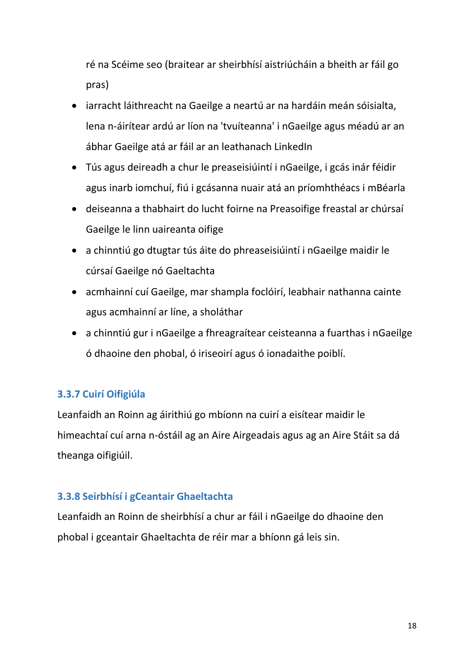ré na Scéime seo (braitear ar sheirbhísí aistriúcháin a bheith ar fáil go pras)

- iarracht láithreacht na Gaeilge a neartú ar na hardáin meán sóisialta, lena n-áirítear ardú ar líon na 'tvuíteanna' i nGaeilge agus méadú ar an ábhar Gaeilge atá ar fáil ar an leathanach LinkedIn
- Tús agus deireadh a chur le preaseisiúintí i nGaeilge, i gcás inár féidir agus inarb iomchuí, fiú i gcásanna nuair atá an príomhthéacs i mBéarla
- deiseanna a thabhairt do lucht foirne na Preasoifige freastal ar chúrsaí Gaeilge le linn uaireanta oifige
- a chinntiú go dtugtar tús áite do phreaseisiúintí i nGaeilge maidir le cúrsaí Gaeilge nó Gaeltachta
- acmhainní cuí Gaeilge, mar shampla foclóirí, leabhair nathanna cainte agus acmhainní ar líne, a sholáthar
- a chinntiú gur i nGaeilge a fhreagraítear ceisteanna a fuarthas i nGaeilge ó dhaoine den phobal, ó iriseoirí agus ó ionadaithe poiblí.

## **3.3.7 Cuirí Oifigiúla**

Leanfaidh an Roinn ag áirithiú go mbíonn na cuirí a eisítear maidir le himeachtaí cuí arna n-óstáil ag an Aire Airgeadais agus ag an Aire Stáit sa dá theanga oifigiúil.

## **3.3.8 Seirbhísí i gCeantair Ghaeltachta**

Leanfaidh an Roinn de sheirbhísí a chur ar fáil i nGaeilge do dhaoine den phobal i gceantair Ghaeltachta de réir mar a bhíonn gá leis sin.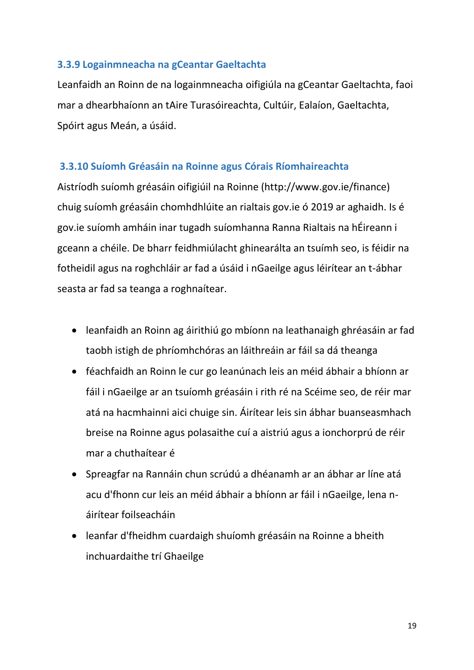## **3.3.9 Logainmneacha na gCeantar Gaeltachta**

Leanfaidh an Roinn de na logainmneacha oifigiúla na gCeantar Gaeltachta, faoi mar a dhearbhaíonn an tAire Turasóireachta, Cultúir, Ealaíon, Gaeltachta, Spóirt agus Meán, a úsáid.

## **3.3.10 Suíomh Gréasáin na Roinne agus Córais Ríomhaireachta**

Aistríodh suíomh gréasáin oifigiúil na Roinne (http://www.gov.ie/finance) chuig suíomh gréasáin chomhdhlúite an rialtais gov.ie ó 2019 ar aghaidh. Is é gov.ie suíomh amháin inar tugadh suíomhanna Ranna Rialtais na hÉireann i gceann a chéile. De bharr feidhmiúlacht ghinearálta an tsuímh seo, is féidir na fotheidil agus na roghchláir ar fad a úsáid i nGaeilge agus léirítear an t-ábhar seasta ar fad sa teanga a roghnaítear.

- leanfaidh an Roinn ag áirithiú go mbíonn na leathanaigh ghréasáin ar fad taobh istigh de phríomhchóras an láithreáin ar fáil sa dá theanga
- féachfaidh an Roinn le cur go leanúnach leis an méid ábhair a bhíonn ar fáil i nGaeilge ar an tsuíomh gréasáin i rith ré na Scéime seo, de réir mar atá na hacmhainni aici chuige sin. Áirítear leis sin ábhar buanseasmhach breise na Roinne agus polasaithe cuí a aistriú agus a ionchorprú de réir mar a chuthaítear é
- Spreagfar na Rannáin chun scrúdú a dhéanamh ar an ábhar ar líne atá acu d'fhonn cur leis an méid ábhair a bhíonn ar fáil i nGaeilge, lena náirítear foilseacháin
- leanfar d'fheidhm cuardaigh shuíomh gréasáin na Roinne a bheith inchuardaithe trí Ghaeilge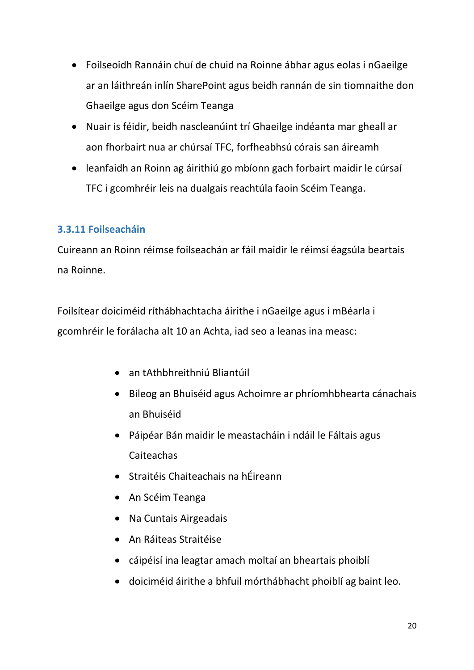- Foilseoidh Rannáin chuí de chuid na Roinne ábhar agus eolas i nGaeilge ar an láithreán inlín SharePoint agus beidh rannán de sin tiomnaithe don Ghaeilge agus don Scéim Teanga
- Nuair is féidir, beidh nascleanúint trí Ghaeilge indéanta mar gheall ar aon fhorbairt nua ar chúrsaí TFC, forfheabhsú córais san áireamh
- leanfaidh an Roinn ag áirithiú go mbíonn gach forbairt maidir le cúrsaí TFC i gcomhréir leis na dualgais reachtúla faoin Scéim Teanga.

## **3.3.11 Foilseacháin**

Cuireann an Roinn réimse foilseachán ar fáil maidir le réimsí éagsúla beartais na Roinne.

Foilsítear doiciméid ríthábhachtacha áirithe i nGaeilge agus i mBéarla i gcomhréir le forálacha alt 10 an Achta, iad seo a leanas ina measc:

- an tAthbhreithniú Bliantúil
- Bileog an Bhuiséid agus Achoimre ar phríomhbhearta cánachais an Bhuiséid
- Páipéar Bán maidir le meastacháin i ndáil le Fáltais agus Caiteachas
- Straitéis Chaiteachais na hÉireann
- An Scéim Teanga
- Na Cuntais Airgeadais
- An Ráiteas Straitéise
- cáipéisí ina leagtar amach moltaí an bheartais phoiblí
- doiciméid áirithe a bhfuil mórthábhacht phoiblí ag baint leo.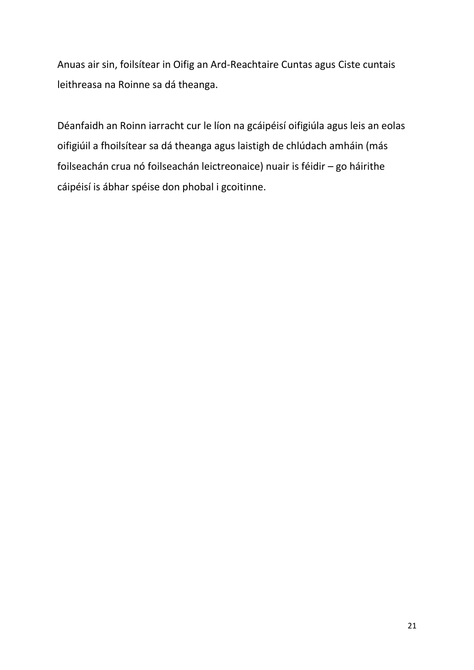Anuas air sin, foilsítear in Oifig an Ard-Reachtaire Cuntas agus Ciste cuntais leithreasa na Roinne sa dá theanga.

Déanfaidh an Roinn iarracht cur le líon na gcáipéisí oifigiúla agus leis an eolas oifigiúil a fhoilsítear sa dá theanga agus laistigh de chlúdach amháin (más foilseachán crua nó foilseachán leictreonaice) nuair is féidir – go háirithe cáipéisí is ábhar spéise don phobal i gcoitinne.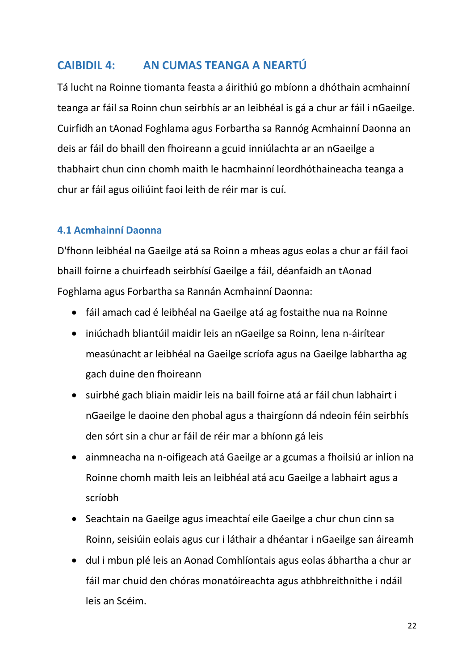## **CAIBIDIL 4: AN CUMAS TEANGA A NEARTÚ**

Tá lucht na Roinne tiomanta feasta a áirithiú go mbíonn a dhóthain acmhainní teanga ar fáil sa Roinn chun seirbhís ar an leibhéal is gá a chur ar fáil i nGaeilge. Cuirfidh an tAonad Foghlama agus Forbartha sa Rannóg Acmhainní Daonna an deis ar fáil do bhaill den fhoireann a gcuid inniúlachta ar an nGaeilge a thabhairt chun cinn chomh maith le hacmhainní leordhóthaineacha teanga a chur ar fáil agus oiliúint faoi leith de réir mar is cuí.

## **4.1 Acmhainní Daonna**

D'fhonn leibhéal na Gaeilge atá sa Roinn a mheas agus eolas a chur ar fáil faoi bhaill foirne a chuirfeadh seirbhísí Gaeilge a fáil, déanfaidh an tAonad Foghlama agus Forbartha sa Rannán Acmhainní Daonna:

- fáil amach cad é leibhéal na Gaeilge atá ag fostaithe nua na Roinne
- iniúchadh bliantúil maidir leis an nGaeilge sa Roinn, lena n-áirítear measúnacht ar leibhéal na Gaeilge scríofa agus na Gaeilge labhartha ag gach duine den fhoireann
- suirbhé gach bliain maidir leis na baill foirne atá ar fáil chun labhairt i nGaeilge le daoine den phobal agus a thairgíonn dá ndeoin féin seirbhís den sórt sin a chur ar fáil de réir mar a bhíonn gá leis
- ainmneacha na n-oifigeach atá Gaeilge ar a gcumas a fhoilsiú ar inlíon na Roinne chomh maith leis an leibhéal atá acu Gaeilge a labhairt agus a scríobh
- Seachtain na Gaeilge agus imeachtaí eile Gaeilge a chur chun cinn sa Roinn, seisiúin eolais agus cur i láthair a dhéantar i nGaeilge san áireamh
- dul i mbun plé leis an Aonad Comhlíontais agus eolas ábhartha a chur ar fáil mar chuid den chóras monatóireachta agus athbhreithnithe i ndáil leis an Scéim.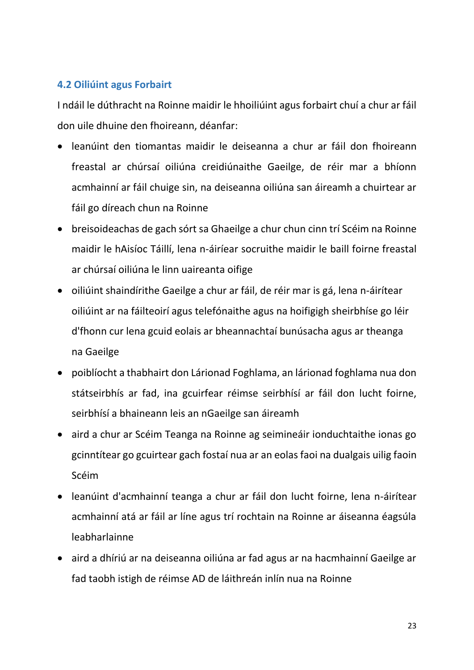## **4.2 Oiliúint agus Forbairt**

I ndáil le dúthracht na Roinne maidir le hhoiliúint agus forbairt chuí a chur ar fáil don uile dhuine den fhoireann, déanfar:

- leanúint den tiomantas maidir le deiseanna a chur ar fáil don fhoireann freastal ar chúrsaí oiliúna creidiúnaithe Gaeilge, de réir mar a bhíonn acmhainní ar fáil chuige sin, na deiseanna oiliúna san áireamh a chuirtear ar fáil go díreach chun na Roinne
- breisoideachas de gach sórt sa Ghaeilge a chur chun cinn trí Scéim na Roinne maidir le hAisíoc Táillí, lena n-áiríear socruithe maidir le baill foirne freastal ar chúrsaí oiliúna le linn uaireanta oifige
- oiliúint shaindírithe Gaeilge a chur ar fáil, de réir mar is gá, lena n-áirítear oiliúint ar na fáilteoirí agus telefónaithe agus na hoifigigh sheirbhíse go léir d'fhonn cur lena gcuid eolais ar bheannachtaí bunúsacha agus ar theanga na Gaeilge
- poiblíocht a thabhairt don Lárionad Foghlama, an lárionad foghlama nua don státseirbhís ar fad, ina gcuirfear réimse seirbhísí ar fáil don lucht foirne, seirbhísí a bhaineann leis an nGaeilge san áireamh
- aird a chur ar Scéim Teanga na Roinne ag seimineáir ionduchtaithe ionas go gcinntítear go gcuirtear gach fostaí nua ar an eolas faoi na dualgais uilig faoin Scéim
- leanúint d'acmhainní teanga a chur ar fáil don lucht foirne, lena n-áirítear acmhainní atá ar fáil ar líne agus trí rochtain na Roinne ar áiseanna éagsúla leabharlainne
- aird a dhíriú ar na deiseanna oiliúna ar fad agus ar na hacmhainní Gaeilge ar fad taobh istigh de réimse AD de láithreán inlín nua na Roinne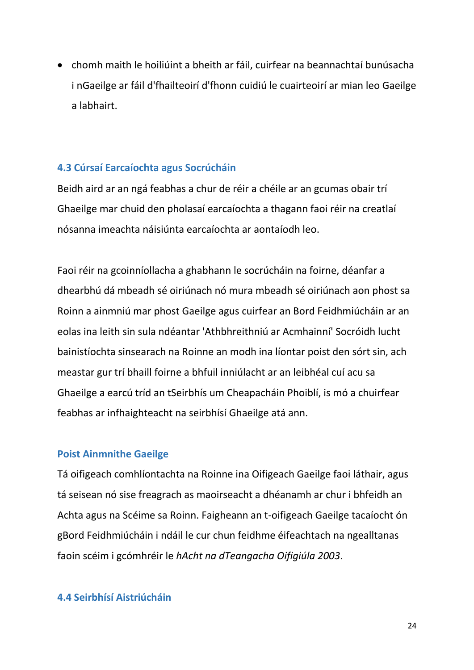chomh maith le hoiliúint a bheith ar fáil, cuirfear na beannachtaí bunúsacha i nGaeilge ar fáil d'fhailteoirí d'fhonn cuidiú le cuairteoirí ar mian leo Gaeilge a labhairt.

## **4.3 Cúrsaí Earcaíochta agus Socrúcháin**

Beidh aird ar an ngá feabhas a chur de réir a chéile ar an gcumas obair trí Ghaeilge mar chuid den pholasaí earcaíochta a thagann faoi réir na creatlaí nósanna imeachta náisiúnta earcaíochta ar aontaíodh leo.

Faoi réir na gcoinníollacha a ghabhann le socrúcháin na foirne, déanfar a dhearbhú dá mbeadh sé oiriúnach nó mura mbeadh sé oiriúnach aon phost sa Roinn a ainmniú mar phost Gaeilge agus cuirfear an Bord Feidhmiúcháin ar an eolas ina leith sin sula ndéantar 'Athbhreithniú ar Acmhainní' Socróidh lucht bainistíochta sinsearach na Roinne an modh ina líontar poist den sórt sin, ach meastar gur trí bhaill foirne a bhfuil inniúlacht ar an leibhéal cuí acu sa Ghaeilge a earcú tríd an tSeirbhís um Cheapacháin Phoiblí, is mó a chuirfear feabhas ar infhaighteacht na seirbhísí Ghaeilge atá ann.

#### **Poist Ainmnithe Gaeilge**

Tá oifigeach comhlíontachta na Roinne ina Oifigeach Gaeilge faoi láthair, agus tá seisean nó sise freagrach as maoirseacht a dhéanamh ar chur i bhfeidh an Achta agus na Scéime sa Roinn. Faigheann an t-oifigeach Gaeilge tacaíocht ón gBord Feidhmiúcháin i ndáil le cur chun feidhme éifeachtach na ngealltanas faoin scéim i gcómhréir le *hAcht na dTeangacha Oifigiúla 2003*.

#### **4.4 Seirbhísí Aistriúcháin**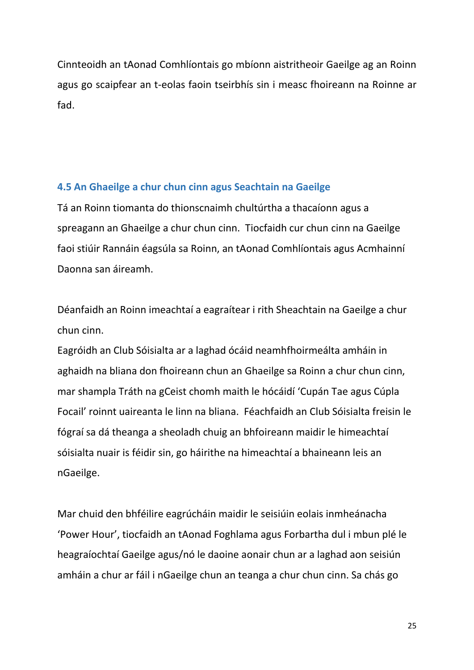Cinnteoidh an tAonad Comhlíontais go mbíonn aistritheoir Gaeilge ag an Roinn agus go scaipfear an t-eolas faoin tseirbhís sin i measc fhoireann na Roinne ar fad.

## **4.5 An Ghaeilge a chur chun cinn agus Seachtain na Gaeilge**

Tá an Roinn tiomanta do thionscnaimh chultúrtha a thacaíonn agus a spreagann an Ghaeilge a chur chun cinn. Tiocfaidh cur chun cinn na Gaeilge faoi stiúir Rannáin éagsúla sa Roinn, an tAonad Comhlíontais agus Acmhainní Daonna san áireamh.

Déanfaidh an Roinn imeachtaí a eagraítear i rith Sheachtain na Gaeilge a chur chun cinn.

Eagróidh an Club Sóisialta ar a laghad ócáid neamhfhoirmeálta amháin in aghaidh na bliana don fhoireann chun an Ghaeilge sa Roinn a chur chun cinn, mar shampla Tráth na gCeist chomh maith le hócáidí 'Cupán Tae agus Cúpla Focail' roinnt uaireanta le linn na bliana. Féachfaidh an Club Sóisialta freisin le fógraí sa dá theanga a sheoladh chuig an bhfoireann maidir le himeachtaí sóisialta nuair is féidir sin, go háirithe na himeachtaí a bhaineann leis an nGaeilge.

Mar chuid den bhféilire eagrúcháin maidir le seisiúin eolais inmheánacha 'Power Hour', tiocfaidh an tAonad Foghlama agus Forbartha dul i mbun plé le heagraíochtaí Gaeilge agus/nó le daoine aonair chun ar a laghad aon seisiún amháin a chur ar fáil i nGaeilge chun an teanga a chur chun cinn. Sa chás go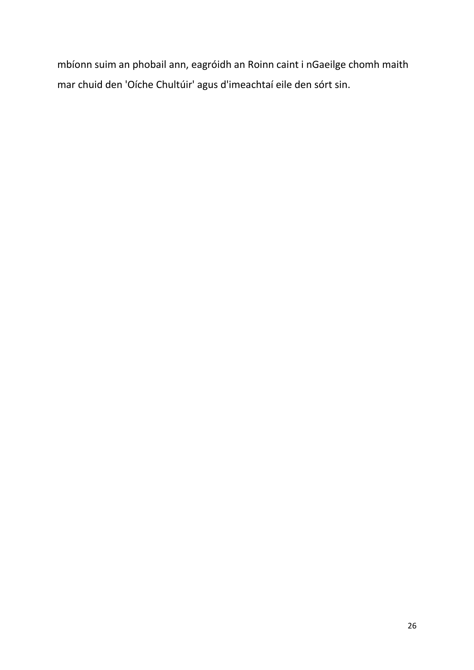mbíonn suim an phobail ann, eagróidh an Roinn caint i nGaeilge chomh maith mar chuid den 'Oíche Chultúir' agus d'imeachtaí eile den sórt sin.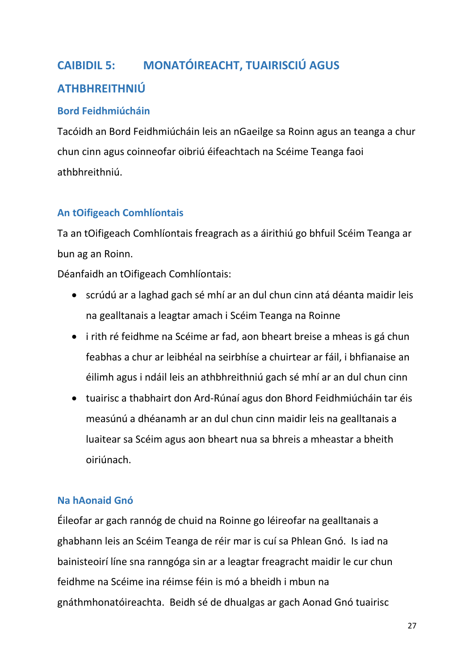# **CAIBIDIL 5: MONATÓIREACHT, TUAIRISCIÚ AGUS ATHBHREITHNIÚ**

## **Bord Feidhmiúcháin**

Tacóidh an Bord Feidhmiúcháin leis an nGaeilge sa Roinn agus an teanga a chur chun cinn agus coinneofar oibriú éifeachtach na Scéime Teanga faoi athbhreithniú.

## **An tOifigeach Comhlíontais**

Ta an tOifigeach Comhlíontais freagrach as a áirithiú go bhfuil Scéim Teanga ar bun ag an Roinn.

Déanfaidh an tOifigeach Comhlíontais:

- scrúdú ar a laghad gach sé mhí ar an dul chun cinn atá déanta maidir leis na gealltanais a leagtar amach i Scéim Teanga na Roinne
- i rith ré feidhme na Scéime ar fad, aon bheart breise a mheas is gá chun feabhas a chur ar leibhéal na seirbhíse a chuirtear ar fáil, i bhfianaise an éilimh agus i ndáil leis an athbhreithniú gach sé mhí ar an dul chun cinn
- tuairisc a thabhairt don Ard-Rúnaí agus don Bhord Feidhmiúcháin tar éis measúnú a dhéanamh ar an dul chun cinn maidir leis na gealltanais a luaitear sa Scéim agus aon bheart nua sa bhreis a mheastar a bheith oiriúnach.

## **Na hAonaid Gnó**

Éileofar ar gach rannóg de chuid na Roinne go léireofar na gealltanais a ghabhann leis an Scéim Teanga de réir mar is cuí sa Phlean Gnó. Is iad na bainisteoirí líne sna ranngóga sin ar a leagtar freagracht maidir le cur chun feidhme na Scéime ina réimse féin is mó a bheidh i mbun na gnáthmhonatóireachta. Beidh sé de dhualgas ar gach Aonad Gnó tuairisc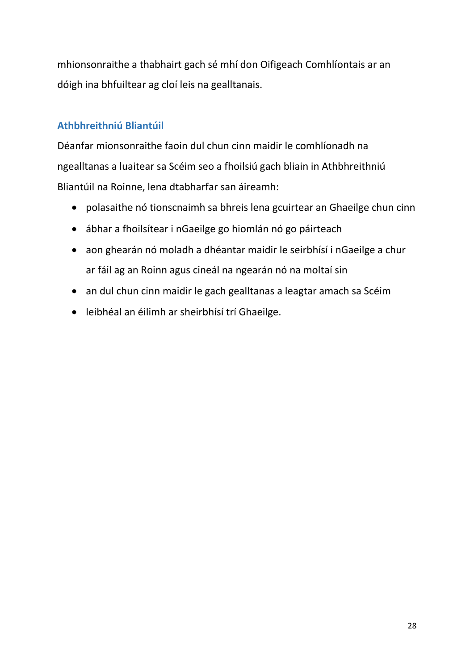mhionsonraithe a thabhairt gach sé mhí don Oifigeach Comhlíontais ar an dóigh ina bhfuiltear ag cloí leis na gealltanais.

## **Athbhreithniú Bliantúil**

Déanfar mionsonraithe faoin dul chun cinn maidir le comhlíonadh na ngealltanas a luaitear sa Scéim seo a fhoilsiú gach bliain in Athbhreithniú Bliantúil na Roinne, lena dtabharfar san áireamh:

- polasaithe nó tionscnaimh sa bhreis lena gcuirtear an Ghaeilge chun cinn
- ábhar a fhoilsítear i nGaeilge go hiomlán nó go páirteach
- aon ghearán nó moladh a dhéantar maidir le seirbhísí i nGaeilge a chur ar fáil ag an Roinn agus cineál na ngearán nó na moltaí sin
- an dul chun cinn maidir le gach gealltanas a leagtar amach sa Scéim
- leibhéal an éilimh ar sheirbhísí trí Ghaeilge.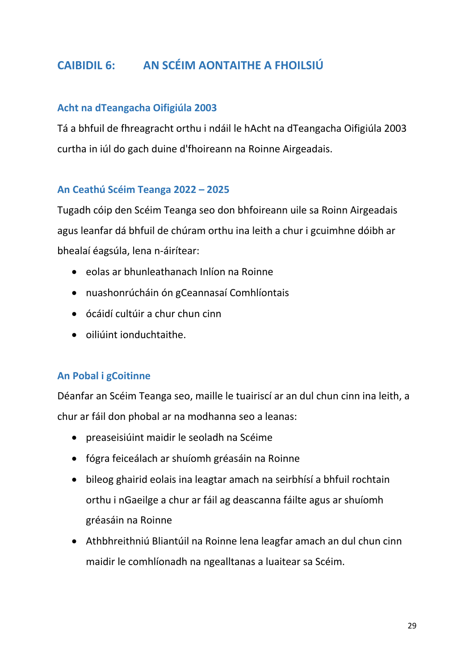## **CAIBIDIL 6: AN SCÉIM AONTAITHE A FHOILSIÚ**

## **Acht na dTeangacha Oifigiúla 2003**

Tá a bhfuil de fhreagracht orthu i ndáil le hAcht na dTeangacha Oifigiúla 2003 curtha in iúl do gach duine d'fhoireann na Roinne Airgeadais.

## **An Ceathú Scéim Teanga 2022 – 2025**

Tugadh cóip den Scéim Teanga seo don bhfoireann uile sa Roinn Airgeadais agus leanfar dá bhfuil de chúram orthu ina leith a chur i gcuimhne dóibh ar bhealaí éagsúla, lena n-áirítear:

- eolas ar bhunleathanach Inlíon na Roinne
- nuashonrúcháin ón gCeannasaí Comhlíontais
- ócáidí cultúir a chur chun cinn
- oiliúint ionduchtaithe.

#### **An Pobal i gCoitinne**

Déanfar an Scéim Teanga seo, maille le tuairiscí ar an dul chun cinn ina leith, a chur ar fáil don phobal ar na modhanna seo a leanas:

- preaseisiúint maidir le seoladh na Scéime
- fógra feiceálach ar shuíomh gréasáin na Roinne
- bileog ghairid eolais ina leagtar amach na seirbhísí a bhfuil rochtain orthu i nGaeilge a chur ar fáil ag deascanna fáilte agus ar shuíomh gréasáin na Roinne
- Athbhreithniú Bliantúil na Roinne lena leagfar amach an dul chun cinn maidir le comhlíonadh na ngealltanas a luaitear sa Scéim.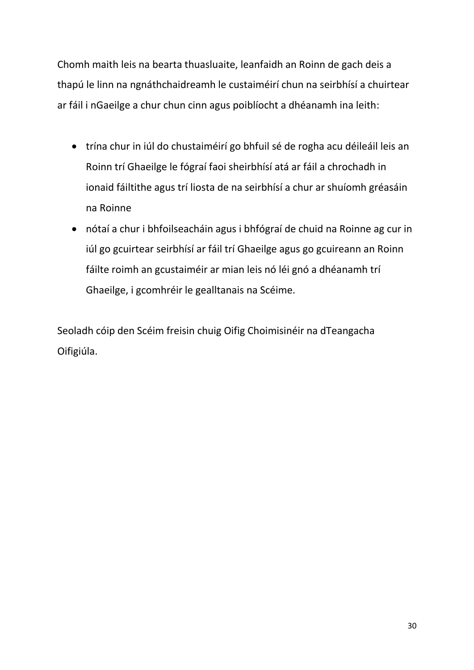Chomh maith leis na bearta thuasluaite, leanfaidh an Roinn de gach deis a thapú le linn na ngnáthchaidreamh le custaiméirí chun na seirbhísí a chuirtear ar fáil i nGaeilge a chur chun cinn agus poiblíocht a dhéanamh ina leith:

- trína chur in iúl do chustaiméirí go bhfuil sé de rogha acu déileáil leis an Roinn trí Ghaeilge le fógraí faoi sheirbhísí atá ar fáil a chrochadh in ionaid fáiltithe agus trí liosta de na seirbhísí a chur ar shuíomh gréasáin na Roinne
- nótaí a chur i bhfoilseacháin agus i bhfógraí de chuid na Roinne ag cur in iúl go gcuirtear seirbhísí ar fáil trí Ghaeilge agus go gcuireann an Roinn fáilte roimh an gcustaiméir ar mian leis nó léi gnó a dhéanamh trí Ghaeilge, i gcomhréir le gealltanais na Scéime.

Seoladh cóip den Scéim freisin chuig Oifig Choimisinéir na dTeangacha Oifigiúla.